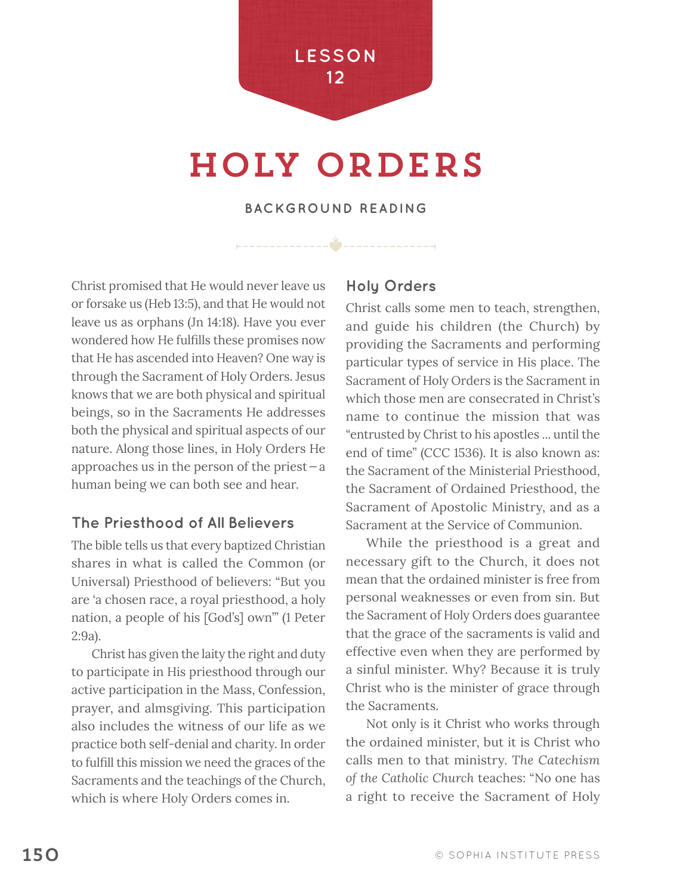# holy orders

**BACKGROUND READING**

 $\frac{1}{2}$ 

Christ promised that He would never leave us or forsake us (Heb 13:5), and that He would not leave us as orphans (Jn 14:18). Have you ever wondered how He fulfills these promises now that He has ascended into Heaven? One way is through the Sacrament of Holy Orders. Jesus knows that we are both physical and spiritual beings, so in the Sacraments He addresses both the physical and spiritual aspects of our nature. Along those lines, in Holy Orders He approaches us in the person of the priest  $-a$ human being we can both see and hear.

## **The Priesthood of All Believers**

The bible tells us that every baptized Christian shares in what is called the Common (or Universal) Priesthood of believers: "But you are 'a chosen race, a royal priesthood, a holy nation, a people of his [God's] own'" (1 Peter 2:9a).

Christ has given the laity the right and duty to participate in His priesthood through our active participation in the Mass, Confession, prayer, and almsgiving. This participation also includes the witness of our life as we practice both self-denial and charity. In order to fulfill this mission we need the graces of the Sacraments and the teachings of the Church, which is where Holy Orders comes in.

### **Holy Orders**

Christ calls some men to teach, strengthen, and guide his children (the Church) by providing the Sacraments and performing particular types of service in His place. The Sacrament of Holy Orders is the Sacrament in which those men are consecrated in Christ's name to continue the mission that was "entrusted by Christ to his apostles ... until the end of time" (CCC 1536). It is also known as: the Sacrament of the Ministerial Priesthood, the Sacrament of Ordained Priesthood, the Sacrament of Apostolic Ministry, and as a Sacrament at the Service of Communion.

While the priesthood is a great and necessary gift to the Church, it does not mean that the ordained minister is free from personal weaknesses or even from sin. But the Sacrament of Holy Orders does guarantee that the grace of the sacraments is valid and effective even when they are performed by a sinful minister. Why? Because it is truly Christ who is the minister of grace through the Sacraments.

Not only is it Christ who works through the ordained minister, but it is Christ who calls men to that ministry. *The Catechism of the Catholic Church* teaches: "No one has a right to receive the Sacrament of Holy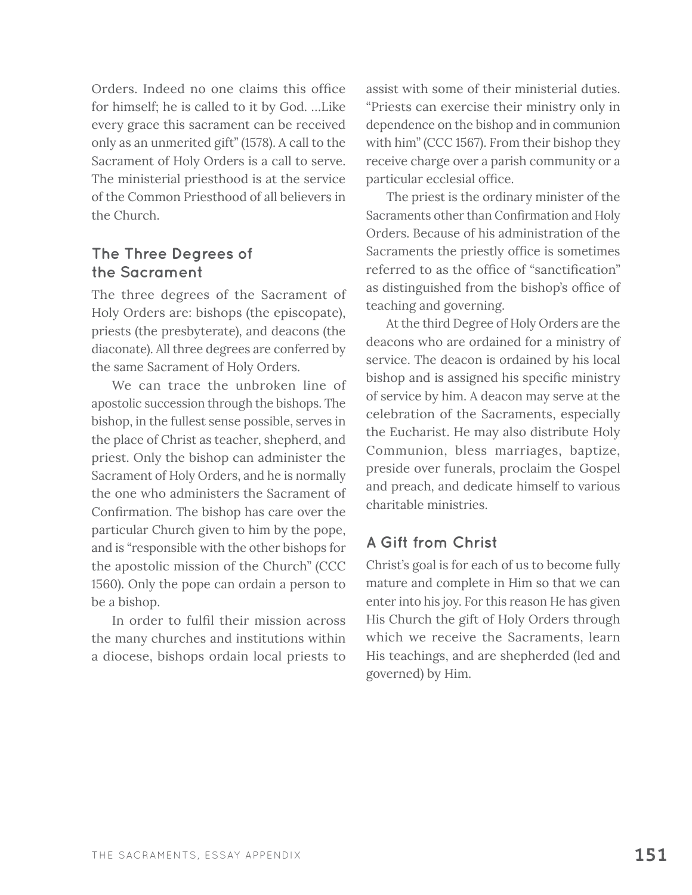Orders. Indeed no one claims this office for himself; he is called to it by God. …Like every grace this sacrament can be received only as an unmerited gift" (1578). A call to the Sacrament of Holy Orders is a call to serve. The ministerial priesthood is at the service of the Common Priesthood of all believers in the Church.

## **The Three Degrees of the Sacrament**

The three degrees of the Sacrament of Holy Orders are: bishops (the episcopate), priests (the presbyterate), and deacons (the diaconate). All three degrees are conferred by the same Sacrament of Holy Orders.

We can trace the unbroken line of apostolic succession through the bishops. The bishop, in the fullest sense possible, serves in the place of Christ as teacher, shepherd, and priest. Only the bishop can administer the Sacrament of Holy Orders, and he is normally the one who administers the Sacrament of Confirmation. The bishop has care over the particular Church given to him by the pope, and is "responsible with the other bishops for the apostolic mission of the Church" (CCC 1560). Only the pope can ordain a person to be a bishop.

In order to fulfil their mission across the many churches and institutions within a diocese, bishops ordain local priests to

assist with some of their ministerial duties. "Priests can exercise their ministry only in dependence on the bishop and in communion with him" (CCC 1567). From their bishop they receive charge over a parish community or a particular ecclesial office.

The priest is the ordinary minister of the Sacraments other than Confirmation and Holy Orders. Because of his administration of the Sacraments the priestly office is sometimes referred to as the office of "sanctification" as distinguished from the bishop's office of teaching and governing.

At the third Degree of Holy Orders are the deacons who are ordained for a ministry of service. The deacon is ordained by his local bishop and is assigned his specific ministry of service by him. A deacon may serve at the celebration of the Sacraments, especially the Eucharist. He may also distribute Holy Communion, bless marriages, baptize, preside over funerals, proclaim the Gospel and preach, and dedicate himself to various charitable ministries.

# **A Gift from Christ**

Christ's goal is for each of us to become fully mature and complete in Him so that we can enter into his joy. For this reason He has given His Church the gift of Holy Orders through which we receive the Sacraments, learn His teachings, and are shepherded (led and governed) by Him.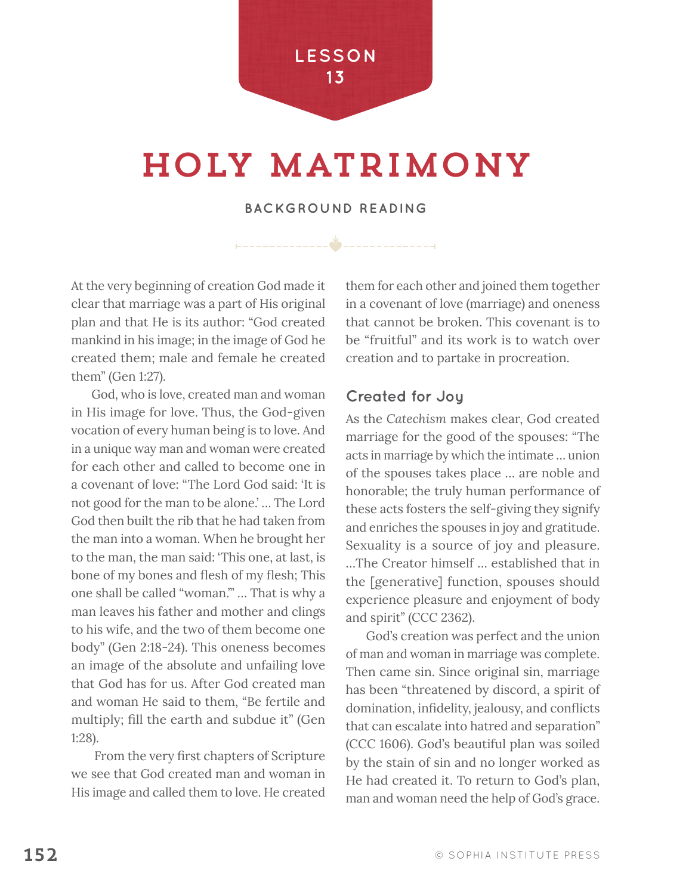

# holy matrimony

#### **BACKGROUND READING**

必

At the very beginning of creation God made it clear that marriage was a part of His original plan and that He is its author: "God created mankind in his image; in the image of God he created them; male and female he created them" (Gen 1:27).

God, who is love, created man and woman in His image for love. Thus, the God-given vocation of every human being is to love. And in a unique way man and woman were created for each other and called to become one in a covenant of love: "The Lord God said: 'It is not good for the man to be alone.' … The Lord God then built the rib that he had taken from the man into a woman. When he brought her to the man, the man said: 'This one, at last, is bone of my bones and flesh of my flesh; This one shall be called "woman."' … That is why a man leaves his father and mother and clings to his wife, and the two of them become one body" (Gen 2:18-24). This oneness becomes an image of the absolute and unfailing love that God has for us. After God created man and woman He said to them, "Be fertile and multiply; fill the earth and subdue it" (Gen 1:28).

 From the very first chapters of Scripture we see that God created man and woman in His image and called them to love. He created them for each other and joined them together in a covenant of love (marriage) and oneness that cannot be broken. This covenant is to be "fruitful" and its work is to watch over creation and to partake in procreation.

#### **Created for Joy**

As the *Catechism* makes clear, God created marriage for the good of the spouses: "The acts in marriage by which the intimate … union of the spouses takes place … are noble and honorable; the truly human performance of these acts fosters the self-giving they signify and enriches the spouses in joy and gratitude. Sexuality is a source of joy and pleasure. …The Creator himself … established that in the [generative] function, spouses should experience pleasure and enjoyment of body and spirit" (CCC 2362).

God's creation was perfect and the union of man and woman in marriage was complete. Then came sin. Since original sin, marriage has been "threatened by discord, a spirit of domination, infidelity, jealousy, and conflicts that can escalate into hatred and separation" (CCC 1606). God's beautiful plan was soiled by the stain of sin and no longer worked as He had created it. To return to God's plan, man and woman need the help of God's grace.